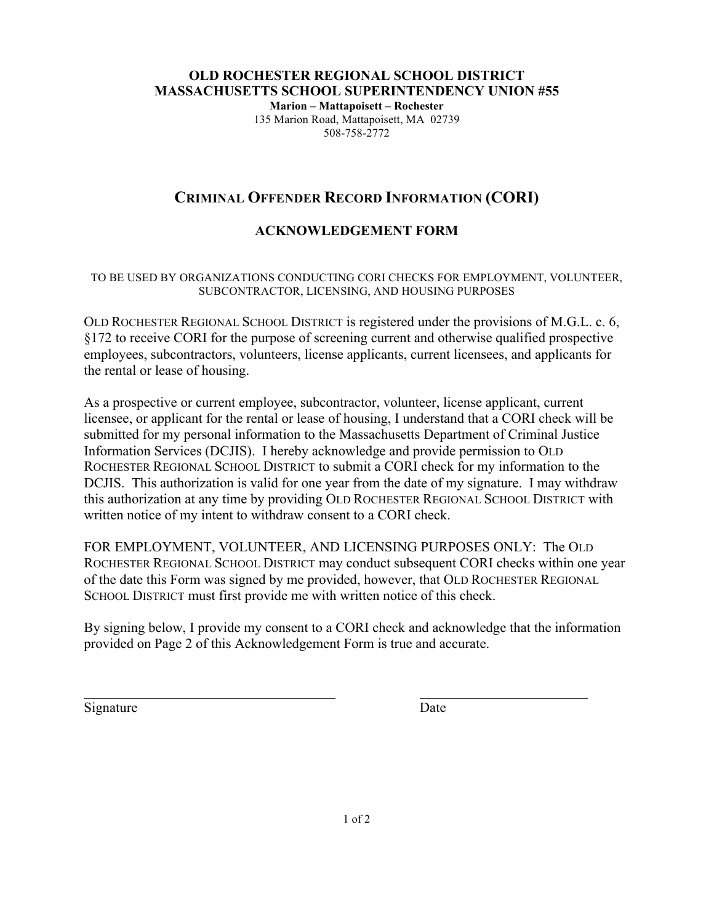#### **OLD ROCHESTER REGIONAL SCHOOL DISTRICT MASSACHUSETTS SCHOOL SUPERINTENDENCY UNION #55 Marion – Mattapoisett – Rochester** 135 Marion Road, Mattapoisett, MA 02739

# 508-758-2772

## **CRIMINAL OFFENDER RECORD INFORMATION (CORI)**

## **ACKNOWLEDGEMENT FORM**

#### TO BE USED BY ORGANIZATIONS CONDUCTING CORI CHECKS FOR EMPLOYMENT, VOLUNTEER, SUBCONTRACTOR, LICENSING, AND HOUSING PURPOSES

OLD ROCHESTER REGIONAL SCHOOL DISTRICT is registered under the provisions of M.G.L. c. 6, §172 to receive CORI for the purpose of screening current and otherwise qualified prospective employees, subcontractors, volunteers, license applicants, current licensees, and applicants for the rental or lease of housing.

As a prospective or current employee, subcontractor, volunteer, license applicant, current licensee, or applicant for the rental or lease of housing, I understand that a CORI check will be submitted for my personal information to the Massachusetts Department of Criminal Justice Information Services (DCJIS). I hereby acknowledge and provide permission to OLD ROCHESTER REGIONAL SCHOOL DISTRICT to submit a CORI check for my information to the DCJIS. This authorization is valid for one year from the date of my signature. I may withdraw this authorization at any time by providing OLD ROCHESTER REGIONAL SCHOOL DISTRICT with written notice of my intent to withdraw consent to a CORI check.

FOR EMPLOYMENT, VOLUNTEER, AND LICENSING PURPOSES ONLY: The OLD ROCHESTER REGIONAL SCHOOL DISTRICT may conduct subsequent CORI checks within one year of the date this Form was signed by me provided, however, that OLD ROCHESTER REGIONAL SCHOOL DISTRICT must first provide me with written notice of this check.

By signing below, I provide my consent to a CORI check and acknowledge that the information provided on Page 2 of this Acknowledgement Form is true and accurate.

Signature Date